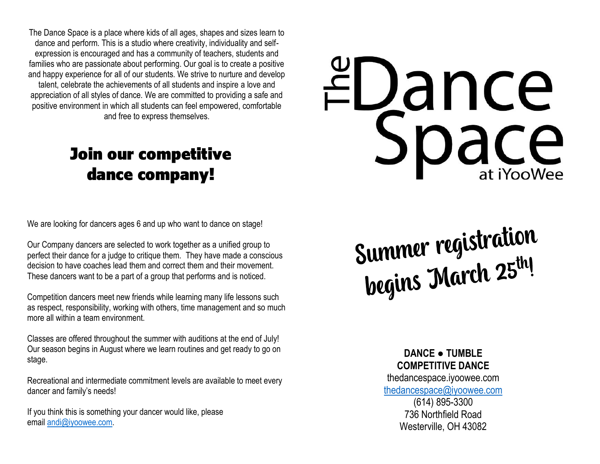The Dance Space is a place where kids of all ages, shapes and sizes learn to dance and perform. This is a studio where creativity, individuality and selfexpression is encouraged and has a community of teachers, students and families who are passionate about performing. Our goal is to create a positive and happy experience for all of our students. We strive to nurture and develop talent, celebrate the achievements of all students and inspire a love and appreciation of all styles of dance. We are committed to providing a safe and positive environment in which all students can feel empowered, comfortable and free to express themselves.

# Join our competitive dance company!

We are looking for dancers ages 6 and up who want to dance on stage!

Our Company dancers are selected to work together as a unified group to perfect their dance for a judge to critique them. They have made a conscious decision to have coaches lead them and correct them and their movement. These dancers want to be a part of a group that performs and is noticed.

Competition dancers meet new friends while learning many life lessons such as respect, responsibility, working with others, time management and so much more all within a team environment.

Classes are offered throughout the summer with auditions at the end of July! Our season begins in August where we learn routines and get ready to go on stage.

Recreational and intermediate commitment levels are available to meet every dancer and family's needs!

If you think this is something your dancer would like, please email [andi@iyoowee.com.](javascript:void(0);)

# EDance

Summer registration<br>begins March 25th!

**DANCE ● TUMBLE COMPETITIVE DANCE**

thedancespace.iyoowee.com [thedancespace@iyoowee.com](mailto:thedancespace@iyoowee.com) (614) 895-3300

736 Northfield Road Westerville, OH 43082